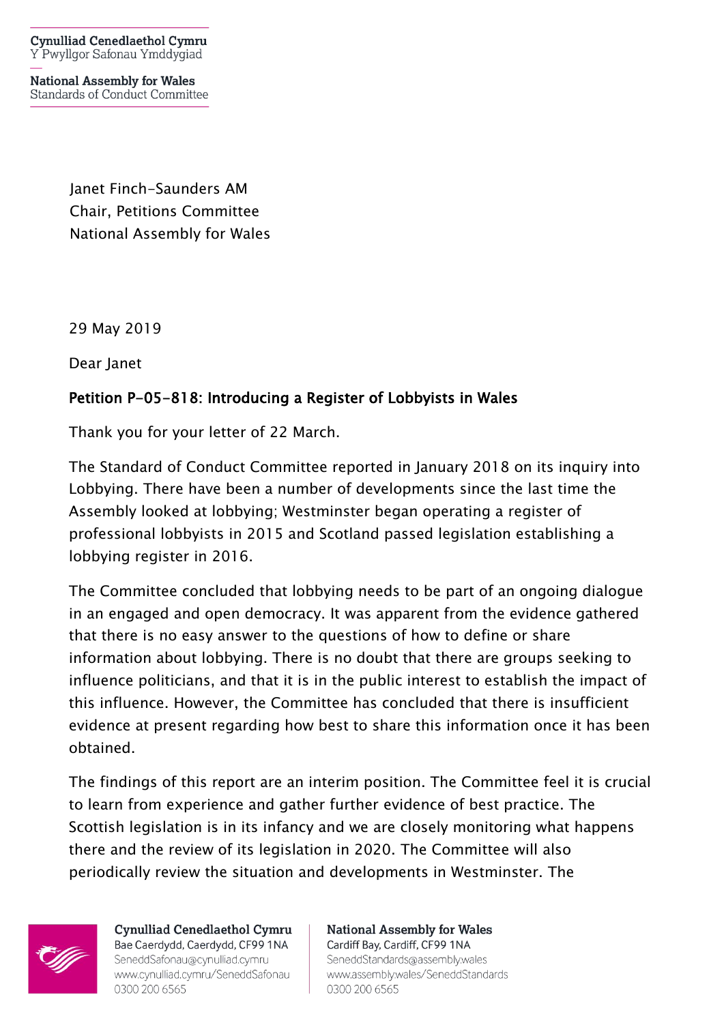**Cynulliad Cenedlaethol Cymru** Y Pwyllgor Safonau Ymddygiad

**National Assembly for Wales** Standards of Conduct Committee

> Janet Finch-Saunders AM Chair, Petitions Committee National Assembly for Wales

29 May 2019

Dear Janet

## Petition P-05-818: Introducing a Register of Lobbyists in Wales

Thank you for your letter of 22 March.

The Standard of Conduct Committee reported in January 2018 on its inquiry into Lobbying. There have been a number of developments since the last time the Assembly looked at lobbying; Westminster began operating a register of professional lobbyists in 2015 and Scotland passed legislation establishing a lobbying register in 2016.

The Committee concluded that lobbying needs to be part of an ongoing dialogue in an engaged and open democracy. It was apparent from the evidence gathered that there is no easy answer to the questions of how to define or share information about lobbying. There is no doubt that there are groups seeking to influence politicians, and that it is in the public interest to establish the impact of this influence. However, the Committee has concluded that there is insufficient evidence at present regarding how best to share this information once it has been obtained.

The findings of this report are an interim position. The Committee feel it is crucial to learn from experience and gather further evidence of best practice. The Scottish legislation is in its infancy and we are closely monitoring what happens there and the review of its legislation in 2020. The Committee will also periodically review the situation and developments in Westminster. The



Cynulliad Cenedlaethol Cymru Bae Caerdydd, Caerdydd, CF99 1NA SeneddSafonau@cynulliad.cymru www.cynulliad.cymru/SeneddSafonau 0300 200 6565

**National Assembly for Wales** Cardiff Bay, Cardiff, CF99 1NA SeneddStandards@assembly.wales www.assembly.wales/SeneddStandards 0300 200 6565